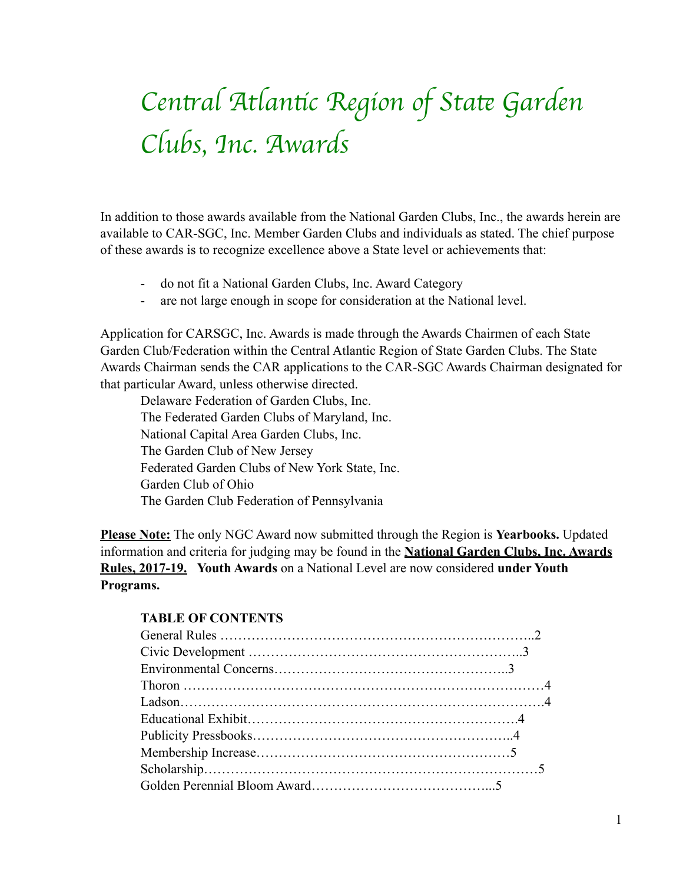# *Cen*t*al Atlan*t*c Region of Sta*t *Garden Clubs, Inc. Awards*

In addition to those awards available from the National Garden Clubs, Inc., the awards herein are available to CAR-SGC, Inc. Member Garden Clubs and individuals as stated. The chief purpose of these awards is to recognize excellence above a State level or achievements that:

- do not fit a National Garden Clubs, Inc. Award Category
- are not large enough in scope for consideration at the National level.

Application for CARSGC, Inc. Awards is made through the Awards Chairmen of each State Garden Club/Federation within the Central Atlantic Region of State Garden Clubs. The State Awards Chairman sends the CAR applications to the CAR-SGC Awards Chairman designated for that particular Award, unless otherwise directed.

 Delaware Federation of Garden Clubs, Inc. The Federated Garden Clubs of Maryland, Inc. National Capital Area Garden Clubs, Inc. The Garden Club of New Jersey Federated Garden Clubs of New York State, Inc. Garden Club of Ohio The Garden Club Federation of Pennsylvania

**Please Note:** The only NGC Award now submitted through the Region is **Yearbooks.** Updated information and criteria for judging may be found in the **National Garden Clubs, Inc. Awards Rules, 2017-19. Youth Awards** on a National Level are now considered **under Youth Programs.** 

#### **TABLE OF CONTENTS**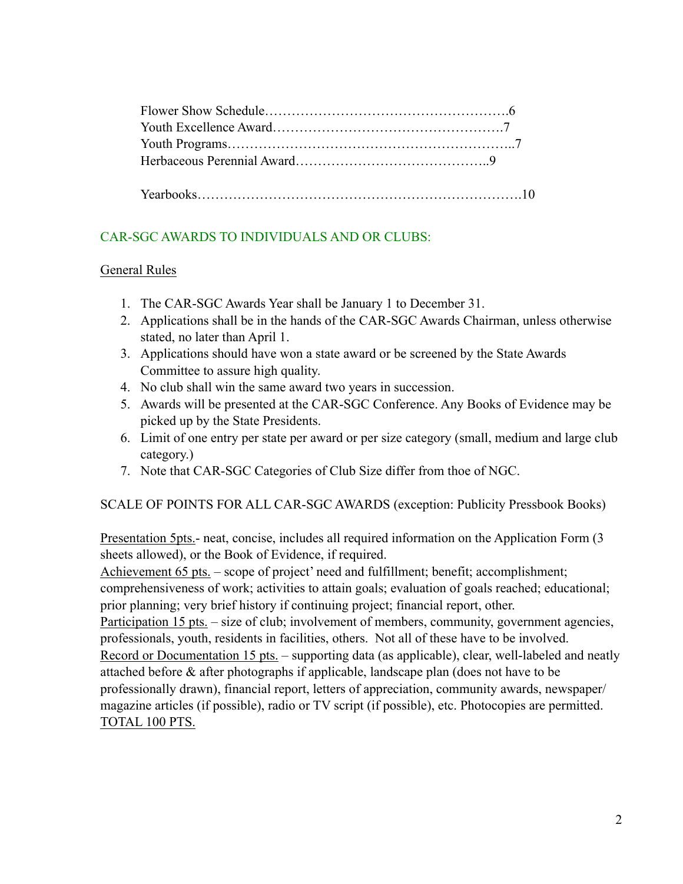# CAR-SGC AWARDS TO INDIVIDUALS AND OR CLUBS:

#### General Rules

- 1. The CAR-SGC Awards Year shall be January 1 to December 31.
- 2. Applications shall be in the hands of the CAR-SGC Awards Chairman, unless otherwise stated, no later than April 1.
- 3. Applications should have won a state award or be screened by the State Awards Committee to assure high quality.
- 4. No club shall win the same award two years in succession.
- 5. Awards will be presented at the CAR-SGC Conference. Any Books of Evidence may be picked up by the State Presidents.
- 6. Limit of one entry per state per award or per size category (small, medium and large club category.)
- 7. Note that CAR-SGC Categories of Club Size differ from thoe of NGC.

SCALE OF POINTS FOR ALL CAR-SGC AWARDS (exception: Publicity Pressbook Books)

Presentation 5pts.- neat, concise, includes all required information on the Application Form (3 sheets allowed), or the Book of Evidence, if required.

Achievement 65 pts. – scope of project' need and fulfillment; benefit; accomplishment;

comprehensiveness of work; activities to attain goals; evaluation of goals reached; educational; prior planning; very brief history if continuing project; financial report, other.

Participation 15 pts. – size of club; involvement of members, community, government agencies, professionals, youth, residents in facilities, others. Not all of these have to be involved.

Record or Documentation 15 pts. – supporting data (as applicable), clear, well-labeled and neatly attached before & after photographs if applicable, landscape plan (does not have to be

professionally drawn), financial report, letters of appreciation, community awards, newspaper/ magazine articles (if possible), radio or TV script (if possible), etc. Photocopies are permitted. TOTAL 100 PTS.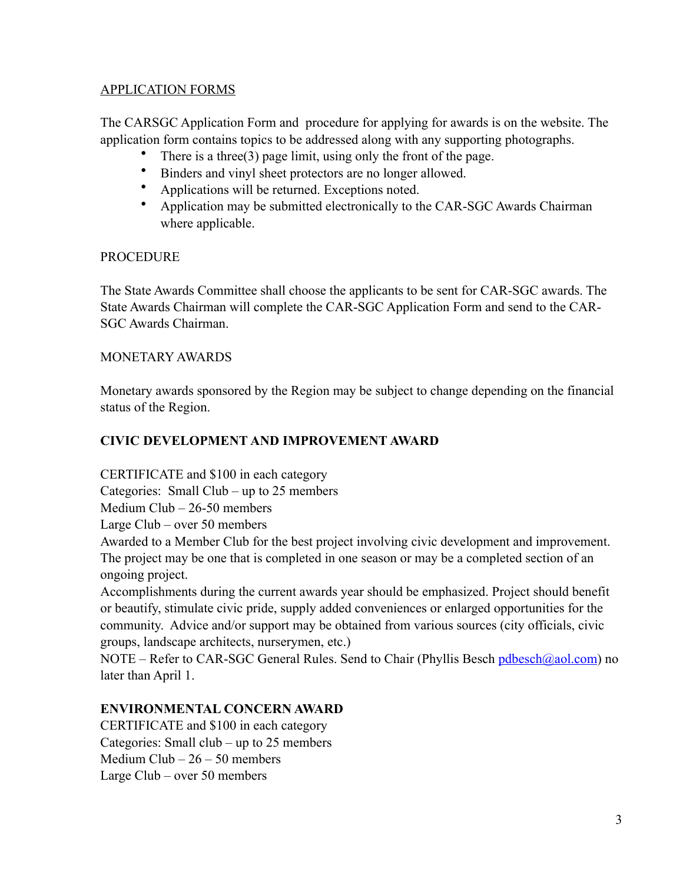#### APPLICATION FORMS

The CARSGC Application Form and procedure for applying for awards is on the website. The application form contains topics to be addressed along with any supporting photographs.

- There is a three  $(3)$  page limit, using only the front of the page.
- Binders and vinyl sheet protectors are no longer allowed.<br>• Applications will be returned Exceptions noted.
- Applications will be returned. Exceptions noted.<br>• Application may be submitted electronically to the
- Application may be submitted electronically to the CAR-SGC Awards Chairman where applicable.

#### PROCEDURE

The State Awards Committee shall choose the applicants to be sent for CAR-SGC awards. The State Awards Chairman will complete the CAR-SGC Application Form and send to the CAR-SGC Awards Chairman.

#### MONETARY AWARDS

Monetary awards sponsored by the Region may be subject to change depending on the financial status of the Region.

# **CIVIC DEVELOPMENT AND IMPROVEMENT AWARD**

CERTIFICATE and \$100 in each category Categories: Small Club – up to 25 members Medium Club – 26-50 members

Large Club – over 50 members

Awarded to a Member Club for the best project involving civic development and improvement. The project may be one that is completed in one season or may be a completed section of an ongoing project.

Accomplishments during the current awards year should be emphasized. Project should benefit or beautify, stimulate civic pride, supply added conveniences or enlarged opportunities for the community. Advice and/or support may be obtained from various sources (city officials, civic groups, landscape architects, nurserymen, etc.)

NOTE – Refer to CAR-SGC General Rules. Send to Chair (Phyllis Besch [pdbesch@aol.com\)](mailto:pdbesch@aol.com) no later than April 1.

#### **ENVIRONMENTAL CONCERN AWARD**

CERTIFICATE and \$100 in each category Categories: Small club – up to 25 members Medium  $Club - 26 - 50$  members Large Club – over 50 members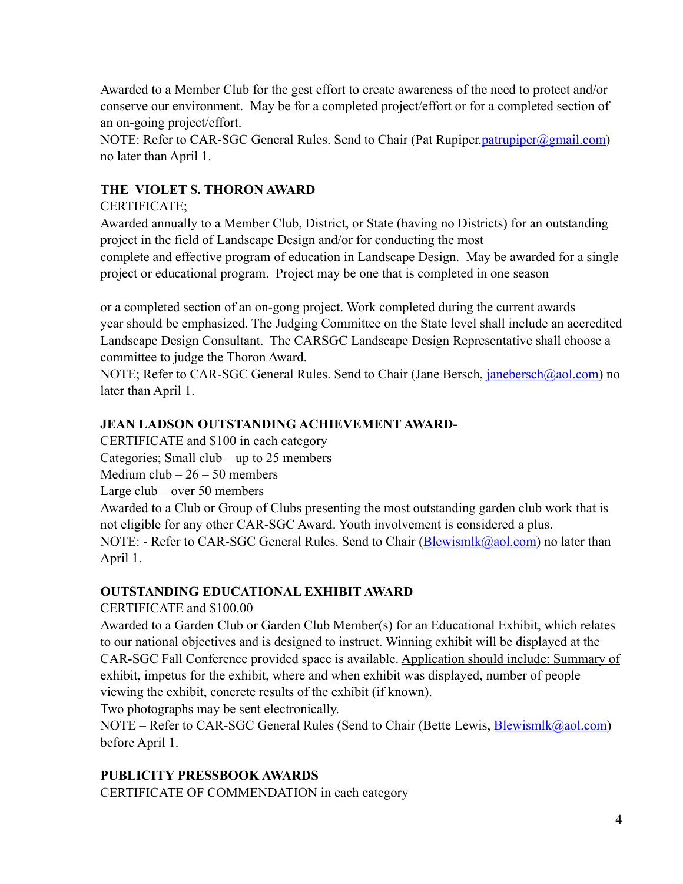Awarded to a Member Club for the gest effort to create awareness of the need to protect and/or conserve our environment. May be for a completed project/effort or for a completed section of an on-going project/effort.

NOTE: Refer to CAR-SGC General Rules. Send to Chair (Pat Rupiper.*[patrupiper@gmail.com](mailto:patrupiper@gmail.com)*) no later than April 1.

# **THE VIOLET S. THORON AWARD**

# CERTIFICATE;

Awarded annually to a Member Club, District, or State (having no Districts) for an outstanding project in the field of Landscape Design and/or for conducting the most complete and effective program of education in Landscape Design. May be awarded for a single project or educational program. Project may be one that is completed in one season

or a completed section of an on-gong project. Work completed during the current awards year should be emphasized. The Judging Committee on the State level shall include an accredited Landscape Design Consultant. The CARSGC Landscape Design Representative shall choose a committee to judge the Thoron Award.

NOTE; Refer to CAR-SGC General Rules. Send to Chair (Jane Bersch, *janebersch*@aol.com) no later than April 1.

# **JEAN LADSON OUTSTANDING ACHIEVEMENT AWARD-**

CERTIFICATE and \$100 in each category

Categories; Small club – up to 25 members

Medium  $club - 26 - 50$  members

Large club – over 50 members

Awarded to a Club or Group of Clubs presenting the most outstanding garden club work that is not eligible for any other CAR-SGC Award. Youth involvement is considered a plus. NOTE: - Refer to CAR-SGC General Rules. Send to Chair ([Blewismlk@aol.com\)](mailto:Blewismlk@aol.com) no later than April 1.

# **OUTSTANDING EDUCATIONAL EXHIBIT AWARD**

# CERTIFICATE and \$100.00

Awarded to a Garden Club or Garden Club Member(s) for an Educational Exhibit, which relates to our national objectives and is designed to instruct. Winning exhibit will be displayed at the CAR-SGC Fall Conference provided space is available. Application should include: Summary of exhibit, impetus for the exhibit, where and when exhibit was displayed, number of people viewing the exhibit, concrete results of the exhibit (if known).

Two photographs may be sent electronically.

NOTE – Refer to CAR-SGC General Rules (Send to Chair (Bette Lewis, [Blewismlk@aol.com](mailto:Blewismlk@aol.com)) before April 1.

# **PUBLICITY PRESSBOOK AWARDS**

CERTIFICATE OF COMMENDATION in each category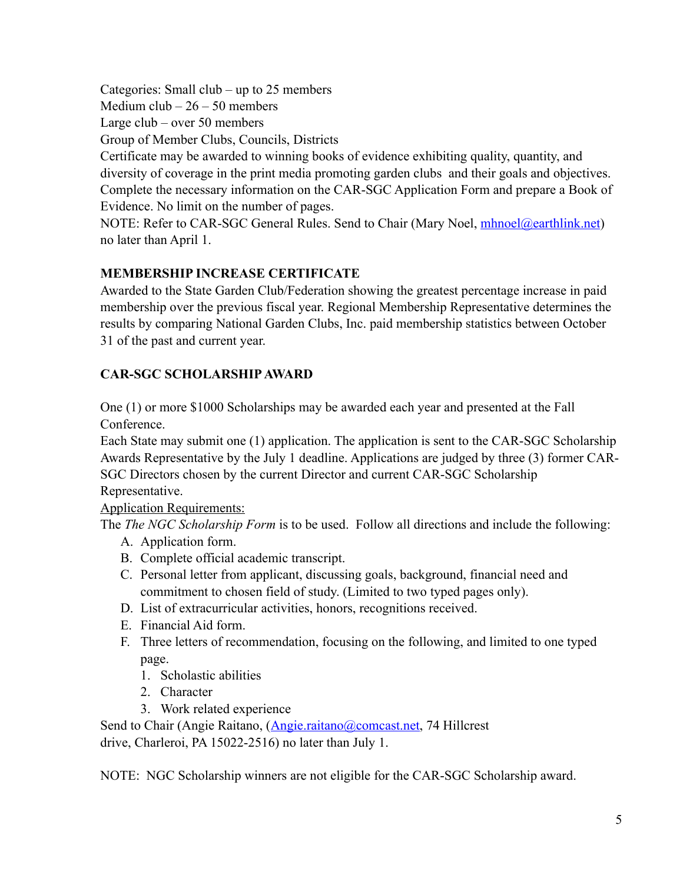Categories: Small club – up to 25 members

Medium  $club - 26 - 50$  members

Large club – over 50 members

Group of Member Clubs, Councils, Districts

Certificate may be awarded to winning books of evidence exhibiting quality, quantity, and diversity of coverage in the print media promoting garden clubs and their goals and objectives. Complete the necessary information on the CAR-SGC Application Form and prepare a Book of Evidence. No limit on the number of pages.

NOTE: Refer to CAR-SGC General Rules. Send to Chair (Mary Noel, [mhnoel@earthlink.net](mailto:mhnoel@earthlink.net)) no later than April 1.

# **MEMBERSHIP INCREASE CERTIFICATE**

Awarded to the State Garden Club/Federation showing the greatest percentage increase in paid membership over the previous fiscal year. Regional Membership Representative determines the results by comparing National Garden Clubs, Inc. paid membership statistics between October 31 of the past and current year.

# **CAR-SGC SCHOLARSHIP AWARD**

One (1) or more \$1000 Scholarships may be awarded each year and presented at the Fall Conference.

Each State may submit one (1) application. The application is sent to the CAR-SGC Scholarship Awards Representative by the July 1 deadline. Applications are judged by three (3) former CAR-SGC Directors chosen by the current Director and current CAR-SGC Scholarship Representative.

Application Requirements:

The *The NGC Scholarship Form* is to be used. Follow all directions and include the following:

- A. Application form.
- B. Complete official academic transcript.
- C. Personal letter from applicant, discussing goals, background, financial need and commitment to chosen field of study. (Limited to two typed pages only).
- D. List of extracurricular activities, honors, recognitions received.
- E. Financial Aid form.
- F. Three letters of recommendation, focusing on the following, and limited to one typed page.
	- 1. Scholastic abilities
	- 2. Character
	- 3. Work related experience

Send to Chair (Angie Raitano, ([Angie.raitano@comcast.net](mailto:Angie.raitano@comcast.net), 74 Hillcrest drive, Charleroi, PA 15022-2516) no later than July 1.

NOTE: NGC Scholarship winners are not eligible for the CAR-SGC Scholarship award.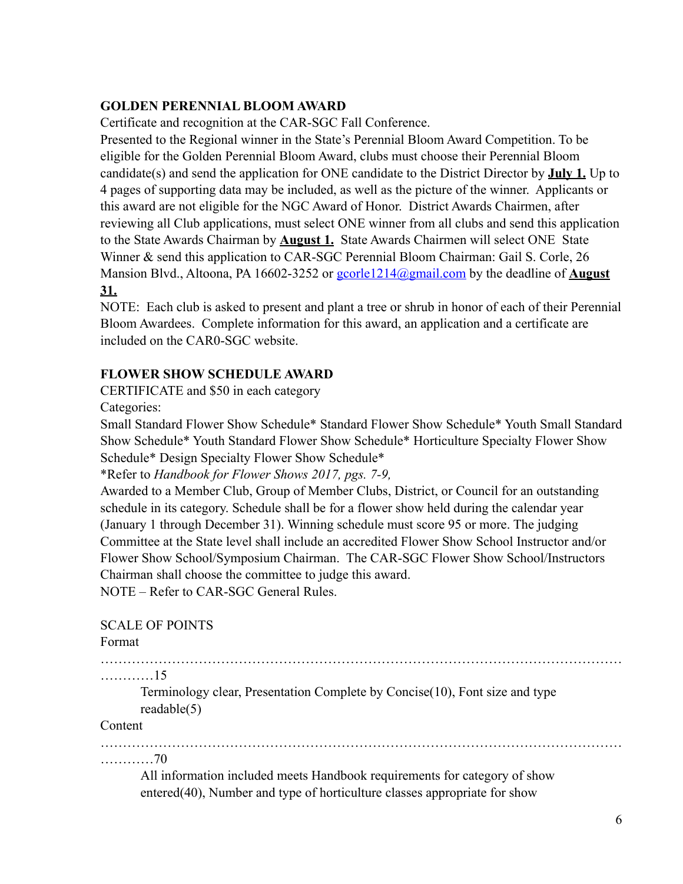#### **GOLDEN PERENNIAL BLOOM AWARD**

Certificate and recognition at the CAR-SGC Fall Conference.

Presented to the Regional winner in the State's Perennial Bloom Award Competition. To be eligible for the Golden Perennial Bloom Award, clubs must choose their Perennial Bloom candidate(s) and send the application for ONE candidate to the District Director by **July 1.** Up to 4 pages of supporting data may be included, as well as the picture of the winner. Applicants or this award are not eligible for the NGC Award of Honor. District Awards Chairmen, after reviewing all Club applications, must select ONE winner from all clubs and send this application to the State Awards Chairman by **August 1.** State Awards Chairmen will select ONE State Winner & send this application to CAR-SGC Perennial Bloom Chairman: Gail S. Corle, 26 Mansion Blvd., Altoona, PA 16602-3252 or [gcorle1214@gmail.com](mailto:gcorle1214@gmail.com) by the deadline of **August 31.** 

NOTE: Each club is asked to present and plant a tree or shrub in honor of each of their Perennial Bloom Awardees. Complete information for this award, an application and a certificate are included on the CAR0-SGC website.

#### **FLOWER SHOW SCHEDULE AWARD**

CERTIFICATE and \$50 in each category

Categories:

Small Standard Flower Show Schedule\* Standard Flower Show Schedule\* Youth Small Standard Show Schedule\* Youth Standard Flower Show Schedule\* Horticulture Specialty Flower Show Schedule\* Design Specialty Flower Show Schedule\*

\*Refer to *Handbook for Flower Shows 2017, pgs. 7-9,* 

Awarded to a Member Club, Group of Member Clubs, District, or Council for an outstanding schedule in its category. Schedule shall be for a flower show held during the calendar year (January 1 through December 31). Winning schedule must score 95 or more. The judging Committee at the State level shall include an accredited Flower Show School Instructor and/or Flower Show School/Symposium Chairman. The CAR-SGC Flower Show School/Instructors Chairman shall choose the committee to judge this award.

NOTE – Refer to CAR-SGC General Rules.

#### SCALE OF POINTS

Format

………………………………………………………………………………………………………

…………15

Terminology clear, Presentation Complete by Concise(10), Font size and type readable(5)

#### Content

……………………………………………………………………………………………………… …………70

 All information included meets Handbook requirements for category of show entered(40), Number and type of horticulture classes appropriate for show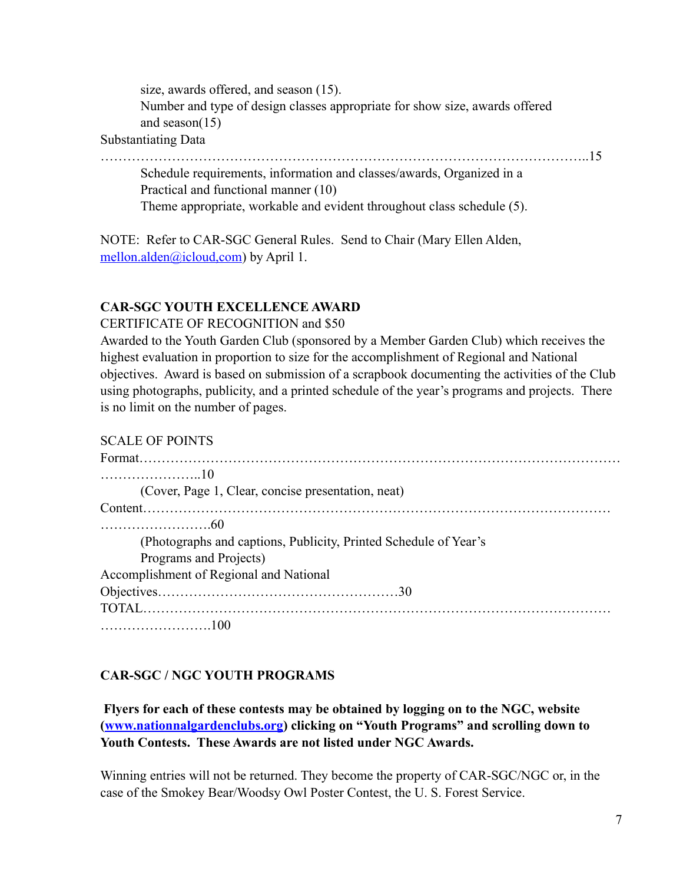size, awards offered, and season (15). Number and type of design classes appropriate for show size, awards offered and season(15)

Substantiating Data

………………………………………………………………………………………………..15

 Schedule requirements, information and classes/awards, Organized in a Practical and functional manner (10) Theme appropriate, workable and evident throughout class schedule (5).

NOTE: Refer to CAR-SGC General Rules. Send to Chair (Mary Ellen Alden, mellon.alden@icloud.com) by April 1.

# **CAR-SGC YOUTH EXCELLENCE AWARD**

CERTIFICATE OF RECOGNITION and \$50

Awarded to the Youth Garden Club (sponsored by a Member Garden Club) which receives the highest evaluation in proportion to size for the accomplishment of Regional and National objectives. Award is based on submission of a scrapbook documenting the activities of the Club using photographs, publicity, and a printed schedule of the year's programs and projects. There is no limit on the number of pages.

#### SCALE OF POINTS

| (Cover, Page 1, Clear, concise presentation, neat)               |  |
|------------------------------------------------------------------|--|
|                                                                  |  |
|                                                                  |  |
| (Photographs and captions, Publicity, Printed Schedule of Year's |  |
| Programs and Projects)                                           |  |
| Accomplishment of Regional and National                          |  |
|                                                                  |  |
|                                                                  |  |
|                                                                  |  |

# **CAR-SGC / NGC YOUTH PROGRAMS**

 **Flyers for each of these contests may be obtained by logging on to the NGC, website ([www.nationnalgardenclubs.org](http://www.nationnalgardenclubs.org)) clicking on "Youth Programs" and scrolling down to Youth Contests. These Awards are not listed under NGC Awards.** 

Winning entries will not be returned. They become the property of CAR-SGC/NGC or, in the case of the Smokey Bear/Woodsy Owl Poster Contest, the U. S. Forest Service.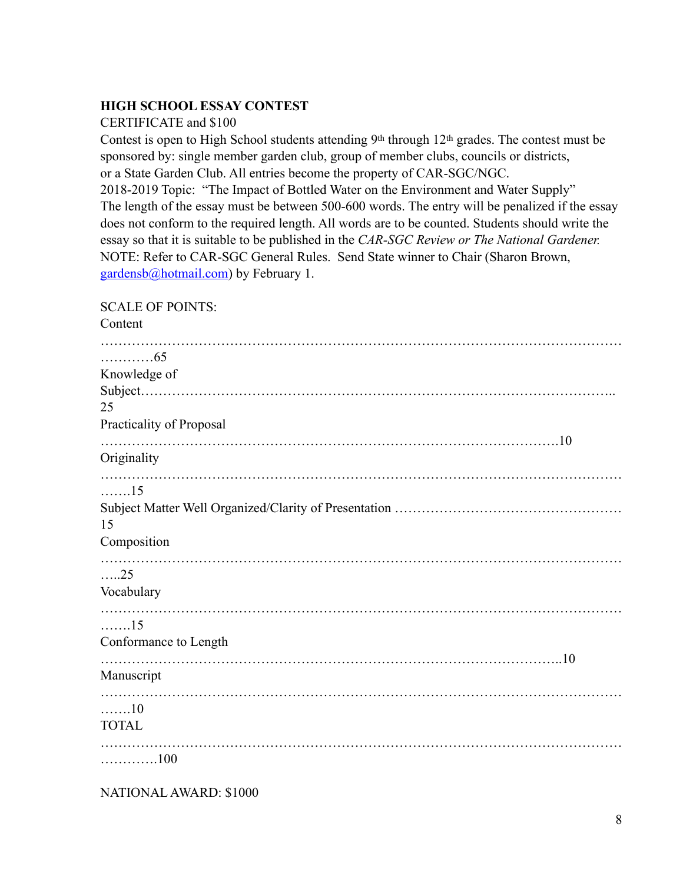#### **HIGH SCHOOL ESSAY CONTEST**

#### CERTIFICATE and \$100

Contest is open to High School students attending 9th through 12th grades. The contest must be sponsored by: single member garden club, group of member clubs, councils or districts, or a State Garden Club. All entries become the property of CAR-SGC/NGC. 2018-2019 Topic: "The Impact of Bottled Water on the Environment and Water Supply" The length of the essay must be between 500-600 words. The entry will be penalized if the essay does not conform to the required length. All words are to be counted. Students should write the essay so that it is suitable to be published in the *CAR-SGC Review or The National Gardener.*  NOTE: Refer to CAR-SGC General Rules. Send State winner to Chair (Sharon Brown, [gardensb@hotmail.com\)](mailto:gardensb@hotmail.com) by February 1.

#### SCALE OF POINTS:

| Content                  |
|--------------------------|
| . 65                     |
| Knowledge of             |
|                          |
| 25                       |
| Practicality of Proposal |
| Originality              |
| . 15                     |
|                          |
| 15                       |
| Composition              |
| $\dots 25$               |
| Vocabulary               |
| . 15                     |
| Conformance to Length    |
|                          |
| Manuscript               |
| 10                       |
| <b>TOTAL</b>             |
| . 100                    |

NATIONAL AWARD: \$1000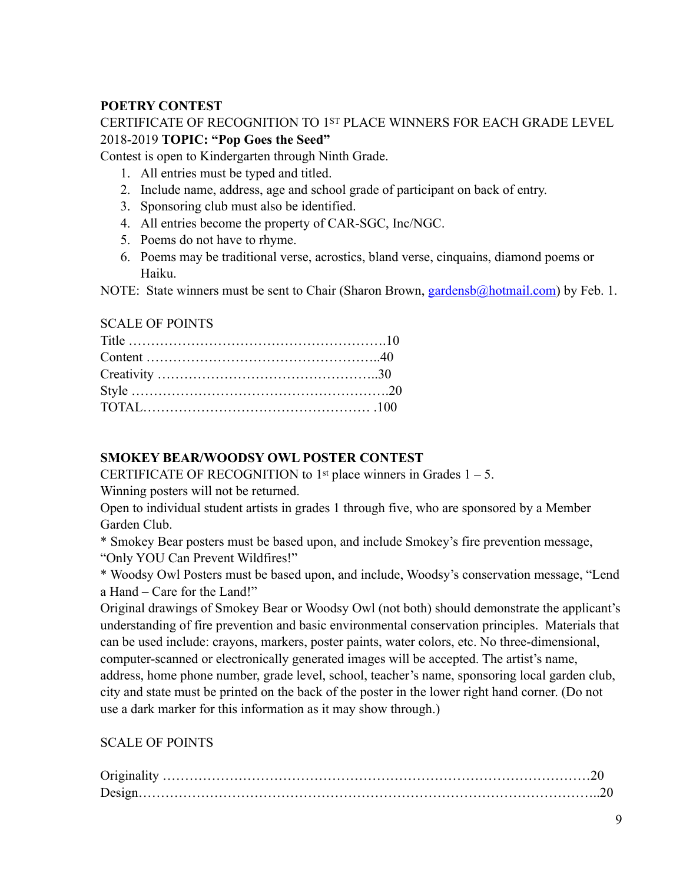# **POETRY CONTEST**

#### CERTIFICATE OF RECOGNITION TO 1ST PLACE WINNERS FOR EACH GRADE LEVEL 2018-2019 **TOPIC: "Pop Goes the Seed"**

Contest is open to Kindergarten through Ninth Grade.

- 1. All entries must be typed and titled.
- 2. Include name, address, age and school grade of participant on back of entry.
- 3. Sponsoring club must also be identified.
- 4. All entries become the property of CAR-SGC, Inc/NGC.
- 5. Poems do not have to rhyme.
- 6. Poems may be traditional verse, acrostics, bland verse, cinquains, diamond poems or Haiku.

NOTE: State winners must be sent to Chair (Sharon Brown, [gardensb@hotmail.com\)](mailto:gardensb@hotmail.com) by Feb. 1.

#### SCALE OF POINTS

# **SMOKEY BEAR/WOODSY OWL POSTER CONTEST**

CERTIFICATE OF RECOGNITION to 1<sup>st</sup> place winners in Grades  $1 - 5$ .

Winning posters will not be returned.

Open to individual student artists in grades 1 through five, who are sponsored by a Member Garden Club.

\* Smokey Bear posters must be based upon, and include Smokey's fire prevention message,

"Only YOU Can Prevent Wildfires!"

\* Woodsy Owl Posters must be based upon, and include, Woodsy's conservation message, "Lend a Hand – Care for the Land!"

Original drawings of Smokey Bear or Woodsy Owl (not both) should demonstrate the applicant's understanding of fire prevention and basic environmental conservation principles. Materials that can be used include: crayons, markers, poster paints, water colors, etc. No three-dimensional, computer-scanned or electronically generated images will be accepted. The artist's name, address, home phone number, grade level, school, teacher's name, sponsoring local garden club, city and state must be printed on the back of the poster in the lower right hand corner. (Do not use a dark marker for this information as it may show through.)

# SCALE OF POINTS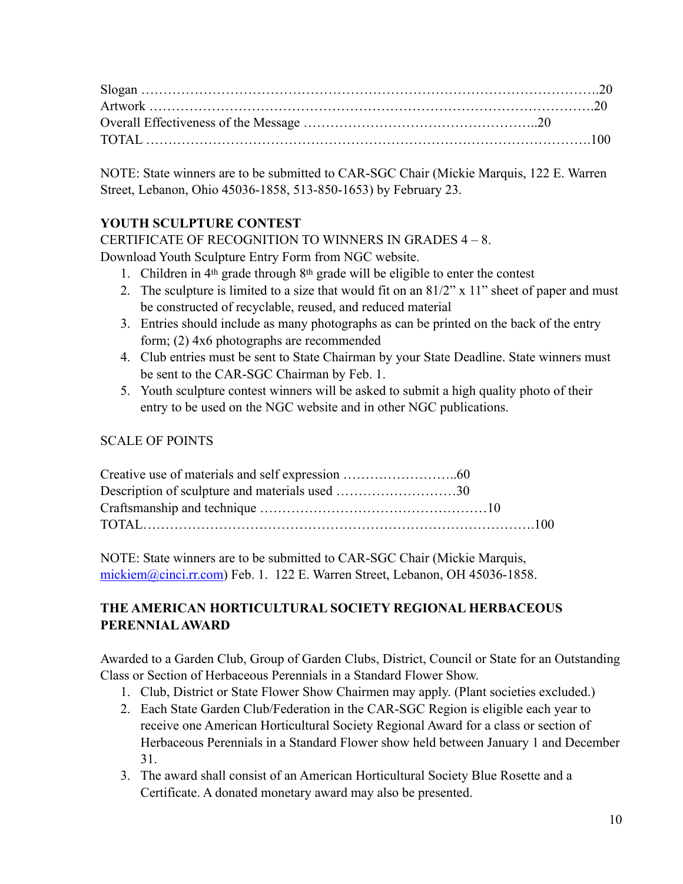NOTE: State winners are to be submitted to CAR-SGC Chair (Mickie Marquis, 122 E. Warren Street, Lebanon, Ohio 45036-1858, 513-850-1653) by February 23.

# **YOUTH SCULPTURE CONTEST**

CERTIFICATE OF RECOGNITION TO WINNERS IN GRADES 4 – 8.

Download Youth Sculpture Entry Form from NGC website.

- 1. Children in 4th grade through 8th grade will be eligible to enter the contest
- 2. The sculpture is limited to a size that would fit on an 81/2" x 11" sheet of paper and must be constructed of recyclable, reused, and reduced material
- 3. Entries should include as many photographs as can be printed on the back of the entry form; (2) 4x6 photographs are recommended
- 4. Club entries must be sent to State Chairman by your State Deadline. State winners must be sent to the CAR-SGC Chairman by Feb. 1.
- 5. Youth sculpture contest winners will be asked to submit a high quality photo of their entry to be used on the NGC website and in other NGC publications.

# SCALE OF POINTS

NOTE: State winners are to be submitted to CAR-SGC Chair (Mickie Marquis, [mickiem@cinci.rr.com](mailto:mickiem@cinci.rr.com)) Feb. 1. 122 E. Warren Street, Lebanon, OH 45036-1858.

# **THE AMERICAN HORTICULTURAL SOCIETY REGIONAL HERBACEOUS PERENNIAL AWARD**

Awarded to a Garden Club, Group of Garden Clubs, District, Council or State for an Outstanding Class or Section of Herbaceous Perennials in a Standard Flower Show.

- 1. Club, District or State Flower Show Chairmen may apply. (Plant societies excluded.)
- 2. Each State Garden Club/Federation in the CAR-SGC Region is eligible each year to receive one American Horticultural Society Regional Award for a class or section of Herbaceous Perennials in a Standard Flower show held between January 1 and December 31.
- 3. The award shall consist of an American Horticultural Society Blue Rosette and a Certificate. A donated monetary award may also be presented.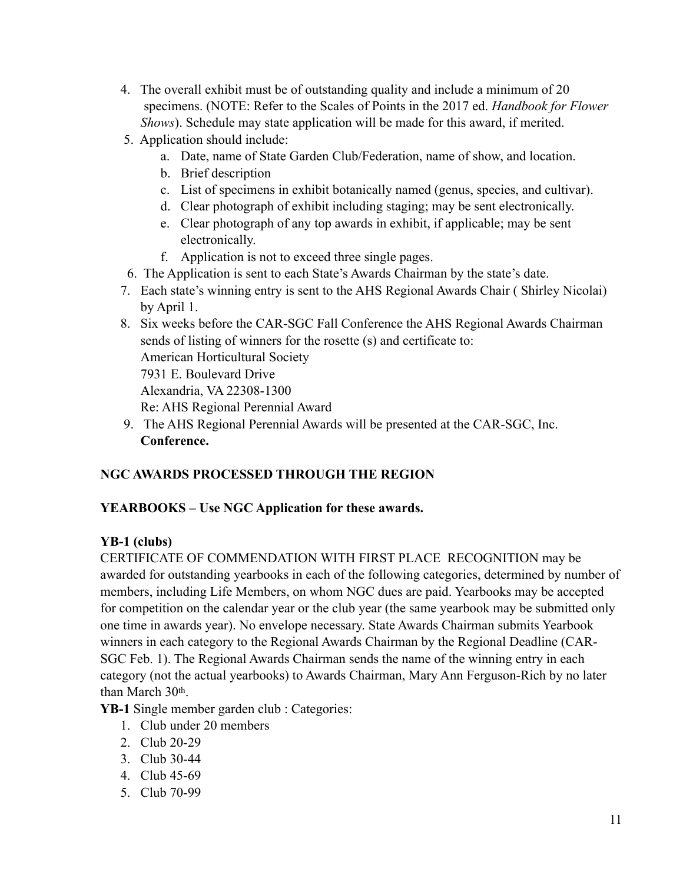- 4. The overall exhibit must be of outstanding quality and include a minimum of 20 specimens. (NOTE: Refer to the Scales of Points in the 2017 ed. *Handbook for Flower Shows*). Schedule may state application will be made for this award, if merited.
- 5. Application should include:
	- a. Date, name of State Garden Club/Federation, name of show, and location.
	- b. Brief description
	- c. List of specimens in exhibit botanically named (genus, species, and cultivar).
	- d. Clear photograph of exhibit including staging; may be sent electronically.
	- e. Clear photograph of any top awards in exhibit, if applicable; may be sent electronically.
	- f. Application is not to exceed three single pages.
- 6. The Application is sent to each State's Awards Chairman by the state's date.
- 7. Each state's winning entry is sent to the AHS Regional Awards Chair ( Shirley Nicolai) by April 1.
- 8. Six weeks before the CAR-SGC Fall Conference the AHS Regional Awards Chairman sends of listing of winners for the rosette (s) and certificate to: American Horticultural Society 7931 E. Boulevard Drive Alexandria, VA 22308-1300 Re: AHS Regional Perennial Award
- 9. The AHS Regional Perennial Awards will be presented at the CAR-SGC, Inc.  **Conference.**

# **NGC AWARDS PROCESSED THROUGH THE REGION**

# **YEARBOOKS – Use NGC Application for these awards.**

#### **YB-1 (clubs)**

CERTIFICATE OF COMMENDATION WITH FIRST PLACE RECOGNITION may be awarded for outstanding yearbooks in each of the following categories, determined by number of members, including Life Members, on whom NGC dues are paid. Yearbooks may be accepted for competition on the calendar year or the club year (the same yearbook may be submitted only one time in awards year). No envelope necessary. State Awards Chairman submits Yearbook winners in each category to the Regional Awards Chairman by the Regional Deadline (CAR-SGC Feb. 1). The Regional Awards Chairman sends the name of the winning entry in each category (not the actual yearbooks) to Awards Chairman, Mary Ann Ferguson-Rich by no later than March 30th.

**YB-1** Single member garden club : Categories:

- 1. Club under 20 members
- 2. Club 20-29
- 3. Club 30-44
- 4. Club 45-69
- 5. Club 70-99